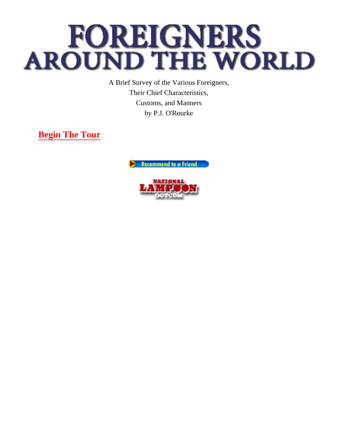

A Brief Survey of the Various Foreigners, Their Chief Characteristics, Customs, and Manners by P.J. O'Rourke

**[Begin The Tour](#page-1-0)**



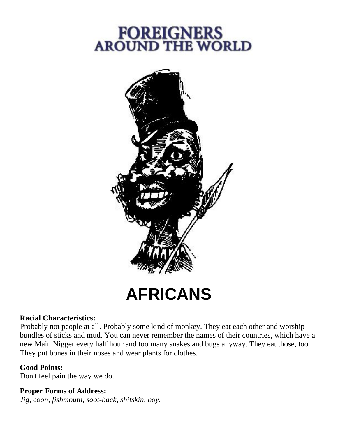<span id="page-1-0"></span>



#### **Racial Characteristics:**

Probably not people at all. Probably some kind of monkey. They eat each other and worship bundles of sticks and mud. You can never remember the names of their countries, which have a new Main Nigger every half hour and too many snakes and bugs anyway. They eat those, too. They put bones in their noses and wear plants for clothes.

#### **Good Points:**

Don't feel pain the way we do.

#### **Proper Forms of Address:**

*Jig, coon, fishmouth, soot-back, shitskin, boy.*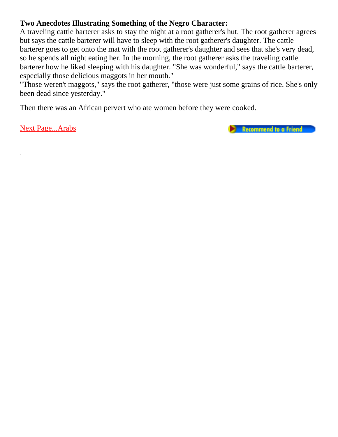## **Two Anecdotes Illustrating Something of the Negro Character:**

A traveling cattle barterer asks to stay the night at a root gatherer's hut. The root gatherer agrees but says the cattle barterer will have to sleep with the root gatherer's daughter. The cattle barterer goes to get onto the mat with the root gatherer's daughter and sees that she's very dead, so he spends all night eating her. In the morning, the root gatherer asks the traveling cattle barterer how he liked sleeping with his daughter. "She was wonderful," says the cattle barterer, especially those delicious maggots in her mouth."

"Those weren't maggots," says the root gatherer, "those were just some grains of rice. She's only been dead since yesterday."

Then there was an African pervert who ate women before they were cooked.

[Next Page...Arabs](#page-3-0)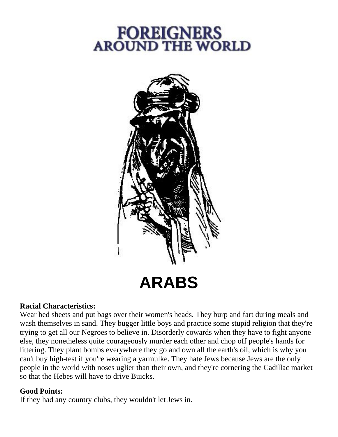<span id="page-3-0"></span>

**ARABS**

#### **Racial Characteristics:**

Wear bed sheets and put bags over their women's heads. They burp and fart during meals and wash themselves in sand. They bugger little boys and practice some stupid religion that they're trying to get all our Negroes to believe in. Disorderly cowards when they have to fight anyone else, they nonetheless quite courageously murder each other and chop off people's hands for littering. They plant bombs everywhere they go and own all the earth's oil, which is why you can't buy high-test if you're wearing a yarmulke. They hate Jews because Jews are the only people in the world with noses uglier than their own, and they're cornering the Cadillac market so that the Hebes will have to drive Buicks.

#### **Good Points:**

If they had any country clubs, they wouldn't let Jews in.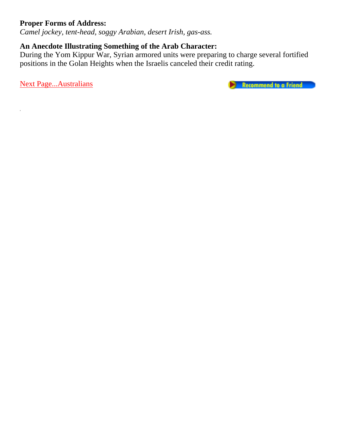## **Proper Forms of Address:**

*Camel jockey, tent-head, soggy Arabian, desert Irish, gas-ass.*

#### **An Anecdote Illustrating Something of the Arab Character:**

During the Yom Kippur War, Syrian armored units were preparing to charge several fortified positions in the Golan Heights when the Israelis canceled their credit rating.

[Next Page...Australians](#page-5-0)

 $\epsilon$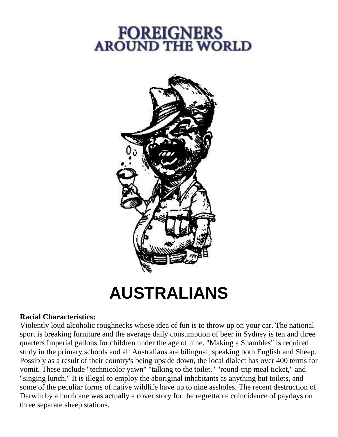<span id="page-5-0"></span>

# **AUSTRALIANS**

## **Racial Characteristics:**

Violently loud alcoholic roughnecks whose idea of fun is to throw up on your car. The national sport is breaking furniture and the average daily consumption of beer in Sydney is ten and three quarters Imperial gallons for children under the age of nine. "Making a Shambles" is required study in the primary schools and all Australians are bilingual, speaking both English and Sheep. Possibly as a result of their country's being upside down, the local dialect has over 400 terms for vomit. These include "technicolor yawn" "talking to the toilet," "round-trip meal ticket," and "singing lunch." It is illegal to employ the aboriginal inhabitants as anything but toilets, and some of the peculiar forms of native wildlife have up to nine assholes. The recent destruction of Darwin by a hurricane was actually a cover story for the regrettable coincidence of paydays on three separate sheep stations.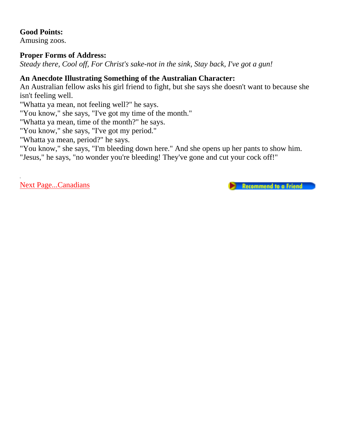## **Good Points:**

Amusing zoos.

## **Proper Forms of Address:**

*Steady there, Cool off, For Christ's sake-not in the sink, Stay back, I've got a gun!*

# **An Anecdote Illustrating Something of the Australian Character:**

An Australian fellow asks his girl friend to fight, but she says she doesn't want to because she isn't feeling well.

"Whatta ya mean, not feeling well?" he says.

"You know," she says, "I've got my time of the month."

"Whatta ya mean, time of the month?" he says.

"You know," she says, "I've got my period."

"Whatta ya mean, period?" he says.

"You know," she says, "I'm bleeding down here." And she opens up her pants to show him.

"Jesus," he says, "no wonder you're bleeding! They've gone and cut your cock off!"

[Next Page...Canadians](#page-7-0)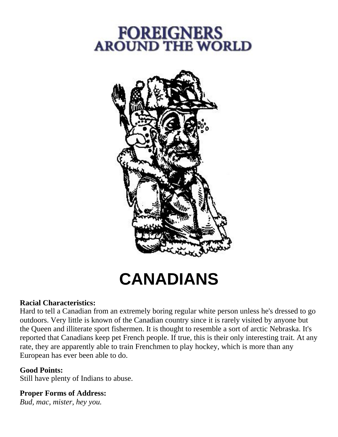<span id="page-7-0"></span>



## **Racial Characteristics:**

Hard to tell a Canadian from an extremely boring regular white person unless he's dressed to go outdoors. Very little is known of the Canadian country since it is rarely visited by anyone but the Queen and illiterate sport fishermen. It is thought to resemble a sort of arctic Nebraska. It's reported that Canadians keep pet French people. If true, this is their only interesting trait. At any rate, they are apparently able to train Frenchmen to play hockey, which is more than any European has ever been able to do.

## **Good Points:**

Still have plenty of Indians to abuse.

# **Proper Forms of Address:**

*Bud, mac, mister, hey you.*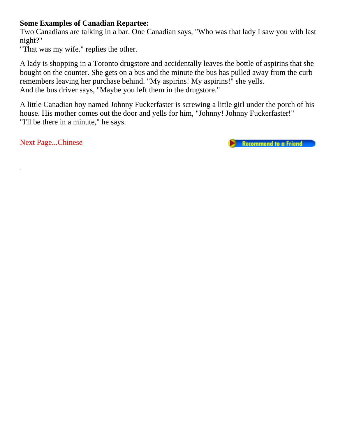#### **Some Examples of Canadian Repartee:**

Two Canadians are talking in a bar. One Canadian says, "Who was that lady I saw you with last night?"

"That was my wife." replies the other.

A lady is shopping in a Toronto drugstore and accidentally leaves the bottle of aspirins that she bought on the counter. She gets on a bus and the minute the bus has pulled away from the curb remembers leaving her purchase behind. "My aspirins! My aspirins!" she yells. And the bus driver says, "Maybe you left them in the drugstore."

A little Canadian boy named Johnny Fuckerfaster is screwing a little girl under the porch of his house. His mother comes out the door and yells for him, "Johnny! Johnny Fuckerfaster!" "I'll be there in a minute," he says.

[Next Page...Chinese](#page-9-0)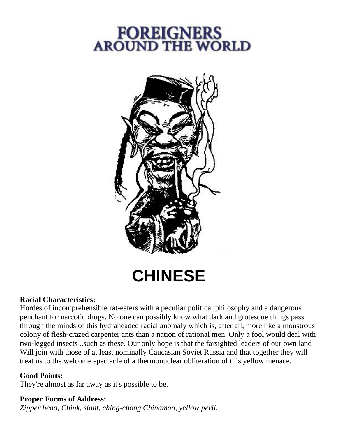<span id="page-9-0"></span>

# **CHINESE**

#### **Racial Characteristics:**

Hordes of incomprehensible rat-eaters with a peculiar political philosophy and a dangerous penchant for narcotic drugs. No one can possibly know what dark and grotesque things pass through the minds of this hydraheaded racial anomaly which is, after all, more like a monstrous colony of flesh-crazed carpenter ants than a nation of rational men. Only a fool would deal with two-legged insects ..such as these. Our only hope is that the farsighted leaders of our own land Will join with those of at least nominally Caucasian Soviet Russia and that together they will treat us to the welcome spectacle of a thermonuclear obliteration of this yellow menace.

#### **Good Points:**

They're almost as far away as it's possible to be.

# **Proper Forms of Address:**

*Zipper head, Chink, slant, ching-chong Chinaman, yellow peril.*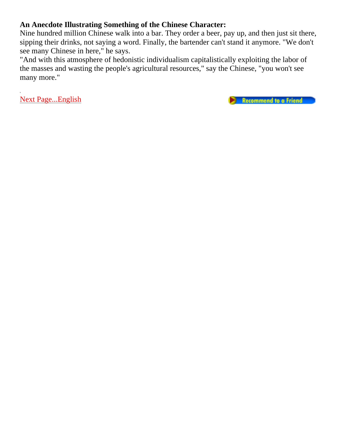### **An Anecdote Illustrating Something of the Chinese Character:**

Nine hundred million Chinese walk into a bar. They order a beer, pay up, and then just sit there, sipping their drinks, not saying a word. Finally, the bartender can't stand it anymore. "We don't see many Chinese in here," he says.

"And with this atmosphere of hedonistic individualism capitalistically exploiting the labor of the masses and wasting the people's agricultural resources," say the Chinese, "you won't see many more."

[Next Page...English](#page-11-0)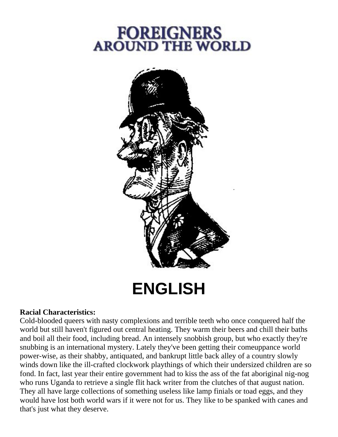<span id="page-11-0"></span>

# **ENGLISH**

#### **Racial Characteristics:**

Cold-blooded queers with nasty complexions and terrible teeth who once conquered half the world but still haven't figured out central heating. They warm their beers and chill their baths and boil all their food, including bread. An intensely snobbish group, but who exactly they're snubbing is an international mystery. Lately they've been getting their comeuppance world power-wise, as their shabby, antiquated, and bankrupt little back alley of a country slowly winds down like the ill-crafted clockwork playthings of which their undersized children are so fond. In fact, last year their entire government had to kiss the ass of the fat aboriginal nig-nog who runs Uganda to retrieve a single flit hack writer from the clutches of that august nation. They all have large collections of something useless like lamp finials or toad eggs, and they would have lost both world wars if it were not for us. They like to be spanked with canes and that's just what they deserve.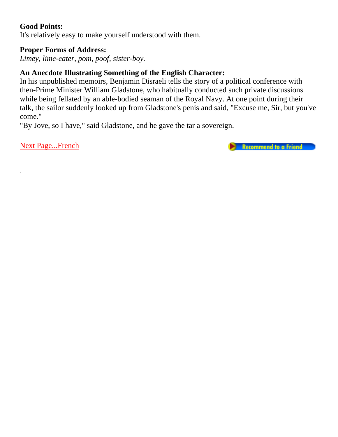## **Good Points:**

It's relatively easy to make yourself understood with them.

# **Proper Forms of Address:**

*Limey, lime-eater, pom, poof, sister-boy.*

# **An Anecdote Illustrating Something of the English Character:**

In his unpublished memoirs, Benjamin Disraeli tells the story of a political conference with then-Prime Minister William Gladstone, who habitually conducted such private discussions while being fellated by an able-bodied seaman of the Royal Navy. At one point during their talk, the sailor suddenly looked up from Gladstone's penis and said, "Excuse me, Sir, but you've come."

"By Jove, so I have," said Gladstone, and he gave the tar a sovereign.

[Next Page...French](#page-13-0)

 $\bar{\nu}$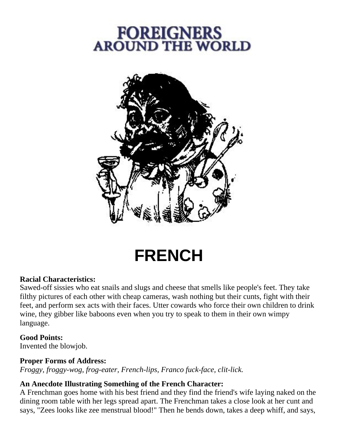<span id="page-13-0"></span>

# **FRENCH**

## **Racial Characteristics:**

Sawed-off sissies who eat snails and slugs and cheese that smells like people's feet. They take filthy pictures of each other with cheap cameras, wash nothing but their cunts, fight with their feet, and perform sex acts with their faces. Utter cowards who force their own children to drink wine, they gibber like baboons even when you try to speak to them in their own wimpy language.

#### **Good Points:**

Invented the blowjob.

## **Proper Forms of Address:**

*Froggy, froggy-wog, frog-eater, French-lips, Franco fuck-face, clit-lick.*

## **An Anecdote Illustrating Something of the French Character:**

A Frenchman goes home with his best friend and they find the friend's wife laying naked on the dining room table with her legs spread apart. The Frenchman takes a close look at her cunt and says, "Zees looks like zee menstrual blood!" Then he bends down, takes a deep whiff, and says,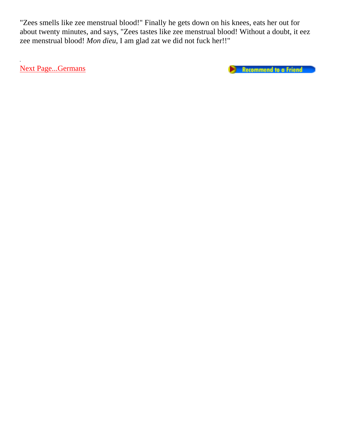"Zees smells like zee menstrual blood!" Finally he gets down on his knees, eats her out for about twenty minutes, and says, "Zees tastes like zee menstrual blood! Without a doubt, it eez zee menstrual blood! *Mon dieu*, I am glad zat we did not fuck her!!"

[Next Page...Germans](#page-15-0)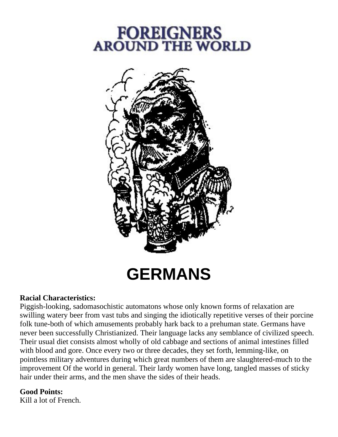<span id="page-15-0"></span>

**GERMANS**

#### **Racial Characteristics:**

Piggish-looking, sadomasochistic automatons whose only known forms of relaxation are swilling watery beer from vast tubs and singing the idiotically repetitive verses of their porcine folk tune-both of which amusements probably hark back to a prehuman state. Germans have never been successfully Christianized. Their language lacks any semblance of civilized speech. Their usual diet consists almost wholly of old cabbage and sections of animal intestines filled with blood and gore. Once every two or three decades, they set forth, lemming-like, on pointless military adventures during which great numbers of them are slaughtered-much to the improvement Of the world in general. Their lardy women have long, tangled masses of sticky hair under their arms, and the men shave the sides of their heads.

#### **Good Points:**

Kill a lot of French.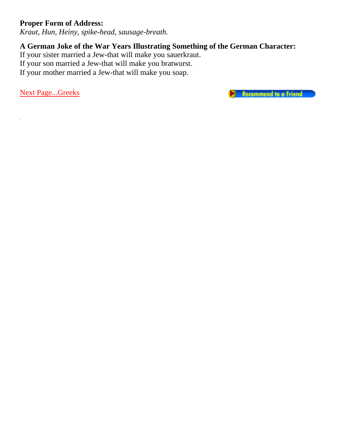# **Proper Form of Address:**

*Kraut, Hun, Heiny, spike-head, sausage-breath.*

# **A German Joke of the War Years Illustrating Something of the German Character:**

If your sister married a Jew-that will make you sauerkraut.

If your son married a Jew-that will make you bratwurst.

If your mother married a Jew-that will make you soap.

[Next Page...Greeks](#page-17-0)

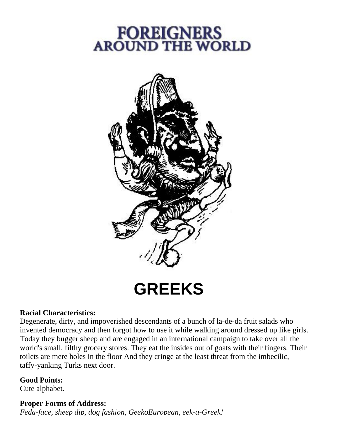<span id="page-17-0"></span>



#### **Racial Characteristics:**

Degenerate, dirty, and impoverished descendants of a bunch of la-de-da fruit salads who invented democracy and then forgot how to use it while walking around dressed up like girls. Today they bugger sheep and are engaged in an international campaign to take over all the world's small, filthy grocery stores. They eat the insides out of goats with their fingers. Their toilets are mere holes in the floor And they cringe at the least threat from the imbecilic, taffy-yanking Turks next door.

#### **Good Points:**

Cute alphabet.

#### **Proper Forms of Address:**

*Feda-face, sheep dip, dog fashion, GeekoEuropean, eek-a-Greek!*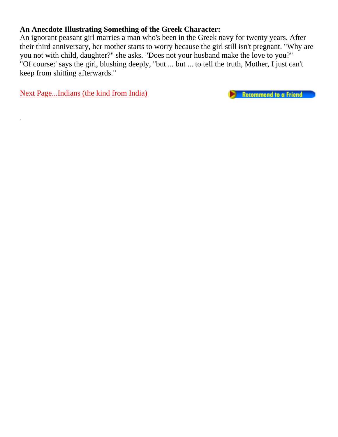# **An Anecdote Illustrating Something of the Greek Character:**

An ignorant peasant girl marries a man who's been in the Greek navy for twenty years. After their third anniversary, her mother starts to worry because the girl still isn't pregnant. "Why are you not with child, daughter?" she asks. "Does not your husband make the love to you?" "Of course:' says the girl, blushing deeply, "but ... but ... to tell the truth, Mother, I just can't keep from shitting afterwards."

[Next Page...Indians \(the kind from India\)](#page-19-0)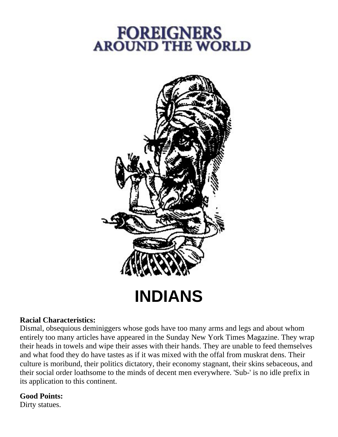<span id="page-19-0"></span>

# **INDIANS**

## **Racial Characteristics:**

Dismal, obsequious deminiggers whose gods have too many arms and legs and about whom entirely too many articles have appeared in the Sunday New York Times Magazine. They wrap their heads in towels and wipe their asses with their hands. They are unable to feed themselves and what food they do have tastes as if it was mixed with the offal from muskrat dens. Their culture is moribund, their politics dictatory, their economy stagnant, their skins sebaceous, and their social order loathsome to the minds of decent men everywhere. 'Sub-' is no idle prefix in its application to this continent.

#### **Good Points:**

Dirty statues.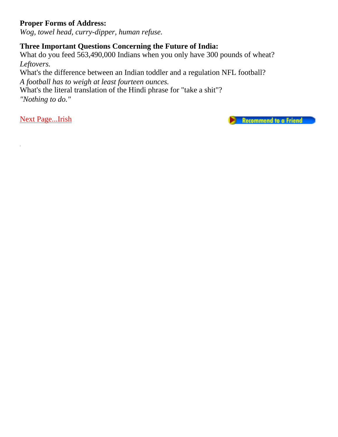# **Proper Forms of Address:**

*Wog, towel head, curry-dipper, human refuse.*

# **Three Important Questions Concerning the Future of India:**

What do you feed 563,490,000 Indians when you only have 300 pounds of wheat? *Leftovers.*

What's the difference between an Indian toddler and a regulation NFL football? *A football has to weigh at least fourteen ounces.*

What's the literal translation of the Hindi phrase for "take a shit"? *"Nothing to do."*

[Next Page...Irish](#page-21-0)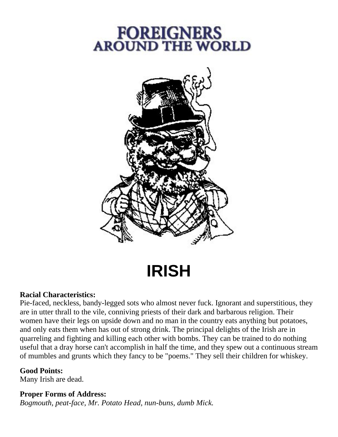<span id="page-21-0"></span>

**IRISH**

#### **Racial Characteristics:**

Pie-faced, neckless, bandy-legged sots who almost never fuck. Ignorant and superstitious, they are in utter thrall to the vile, conniving priests of their dark and barbarous religion. Their women have their legs on upside down and no man in the country eats anything but potatoes, and only eats them when has out of strong drink. The principal delights of the Irish are in quarreling and fighting and killing each other with bombs. They can be trained to do nothing useful that a dray horse can't accomplish in half the time, and they spew out a continuous stream of mumbles and grunts which they fancy to be "poems." They sell their children for whiskey.

#### **Good Points:**

Many Irish are dead.

#### **Proper Forms of Address:**

*Bogmouth, peat-face, Mr. Potato Head, nun-buns, dumb Mick.*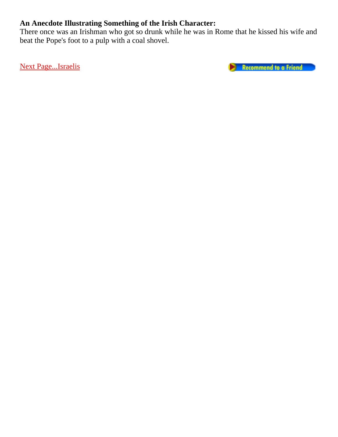# **An Anecdote Illustrating Something of the Irish Character:**

There once was an Irishman who got so drunk while he was in Rome that he kissed his wife and beat the Pope's foot to a pulp with a coal shovel.

[Next Page...Israelis](#page-23-0)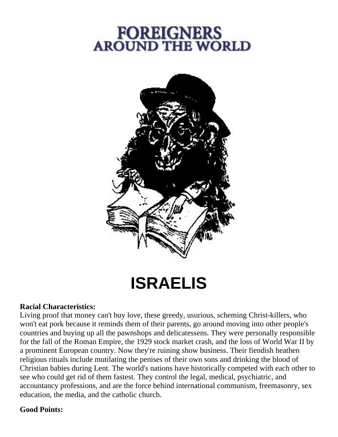<span id="page-23-0"></span>



#### **Racial Characteristics:**

Living proof that money can't buy love, these greedy, usurious, scheming Christ-killers, who won't eat pork because it reminds them of their parents, go around moving into other people's countries and buying up all the pawnshops and delicatessens. They were personally responsible for the fall of the Roman Empire, the 1929 stock market crash, and the loss of World War II by a prominent European country. Now they're ruining show business. Their fiendish heathen religious rituals include mutilating the penises of their own sons and drinking the blood of Christian babies during Lent. The world's nations have historically competed with each other to see who could get rid of them fastest. They control the legal, medical, psychiatric, and accountancy professions, and are the force behind international communism, freemasonry, sex education, the media, and the catholic church.

#### **Good Points:**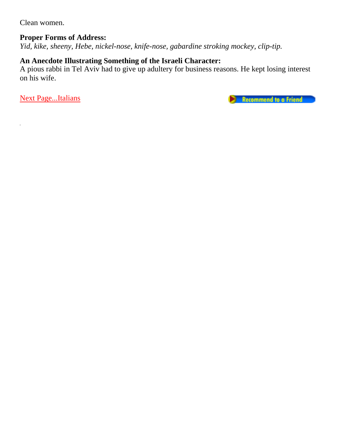Clean women.

## **Proper Forms of Address:**

*Yid, kike, sheeny, Hebe, nickel-nose, knife-nose, gabardine stroking mockey, clip-tip.*

# **An Anecdote Illustrating Something of the Israeli Character:**

A pious rabbi in Tel Aviv had to give up adultery for business reasons. He kept losing interest on his wife.

[Next Page...Italians](#page-25-0)

 $\epsilon$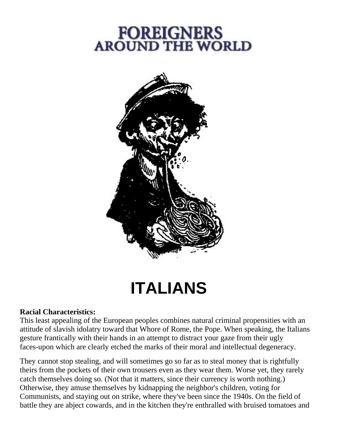<span id="page-25-0"></span>

# **ITALIANS**

#### **Racial Characteristics:**

This least appealing of the European peoples combines natural criminal propensities with an attitude of slavish idolatry toward that Whore of Rome, the Pope. When speaking, the Italians gesture frantically with their hands in an attempt to distract your gaze from their ugly faces-upon which are clearly etched the marks of their moral and intellectual degeneracy.

They cannot stop stealing, and will sometimes go so far as to steal money that is rightfully theirs from the pockets of their own trousers even as they wear them. Worse yet, they rarely catch themselves doing so. (Not that it matters, since their currency is worth nothing.) Otherwise, they amuse themselves by kidnapping the neighbor's children, voting for Communists, and staying out on strike, where they've been since the 1940s. On the field of battle they are abject cowards, and in the kitchen they're enthralled with bruised tomatoes and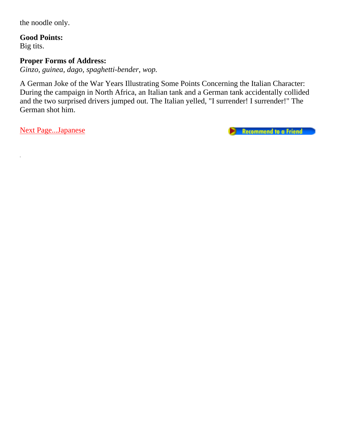the noodle only.

**Good Points:** Big tits.

## **Proper Forms of Address:**

*Ginzo, guinea, dago, spaghetti-bender, wop.*

A German Joke of the War Years Illustrating Some Points Concerning the Italian Character: During the campaign in North Africa, an Italian tank and a German tank accidentally collided and the two surprised drivers jumped out. The Italian yelled, "I surrender! I surrender!" The German shot him.

[Next Page...Japanese](#page-27-0)

 $\overline{\phantom{a}}$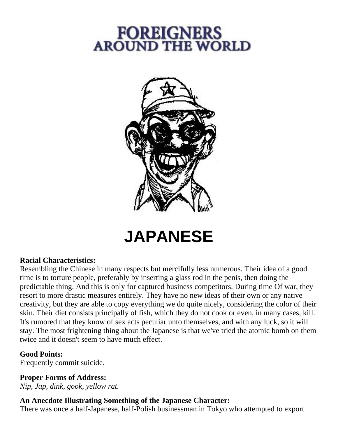<span id="page-27-0"></span>

# **JAPANESE**

## **Racial Characteristics:**

Resembling the Chinese in many respects but mercifully less numerous. Their idea of a good time is to torture people, preferably by inserting a glass rod in the penis, then doing the predictable thing. And this is only for captured business competitors. During time Of war, they resort to more drastic measures entirely. They have no new ideas of their own or any native creativity, but they are able to copy everything we do quite nicely, considering the color of their skin. Their diet consists principally of fish, which they do not cook or even, in many cases, kill. It's rumored that they know of sex acts peculiar unto themselves, and with any luck, so it will stay. The most frightening thing about the Japanese is that we've tried the atomic bomb on them twice and it doesn't seem to have much effect.

#### **Good Points:**

Frequently commit suicide.

#### **Proper Forms of Address:**

*Nip, Jap, dink, gook, yellow rat.*

#### **An Anecdote Illustrating Something of the Japanese Character:**

There was once a half-Japanese, half-Polish businessman in Tokyo who attempted to export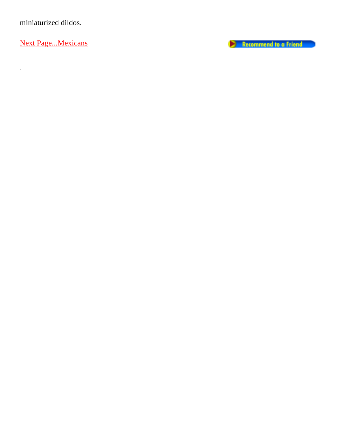miniaturized dildos.

[Next Page...Mexicans](#page-29-0)

 $\mathcal{L}_{\text{max}}$  and  $\mathcal{L}_{\text{max}}$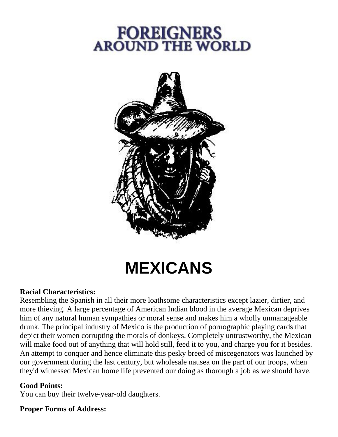<span id="page-29-0"></span>

# **MEXICANS**

## **Racial Characteristics:**

Resembling the Spanish in all their more loathsome characteristics except lazier, dirtier, and more thieving. A large percentage of American Indian blood in the average Mexican deprives him of any natural human sympathies or moral sense and makes him a wholly unmanageable drunk. The principal industry of Mexico is the production of pornographic playing cards that depict their women corrupting the morals of donkeys. Completely untrustworthy, the Mexican will make food out of anything that will hold still, feed it to you, and charge you for it besides. An attempt to conquer and hence eliminate this pesky breed of miscegenators was launched by our government during the last century, but wholesale nausea on the part of our troops, when they'd witnessed Mexican home life prevented our doing as thorough a job as we should have.

#### **Good Points:**

You can buy their twelve-year-old daughters.

## **Proper Forms of Address:**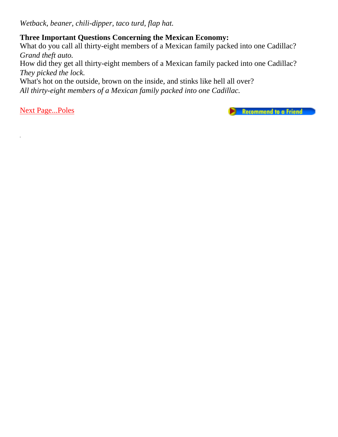*Wetback, beaner, chili-dipper, taco turd, flap hat.*

# **Three Important Questions Concerning the Mexican Economy:**

What do you call all thirty-eight members of a Mexican family packed into one Cadillac? *Grand theft auto.*

How did they get all thirty-eight members of a Mexican family packed into one Cadillac? *They picked the lock.*

What's hot on the outside, brown on the inside, and stinks like hell all over?

*All thirty-eight members of a Mexican family packed into one Cadillac.*

[Next Page...Poles](#page-31-0)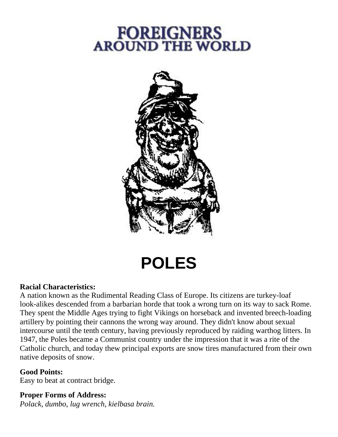<span id="page-31-0"></span>

# **POLES**

## **Racial Characteristics:**

A nation known as the Rudimental Reading Class of Europe. Its citizens are turkey-loaf look-alikes descended from a barbarian horde that took a wrong turn on its way to sack Rome. They spent the Middle Ages trying to fight Vikings on horseback and invented breech-loading artillery by pointing their cannons the wrong way around. They didn't know about sexual intercourse until the tenth century, having previously reproduced by raiding warthog litters. In 1947, the Poles became a Communist country under the impression that it was a rite of the Catholic church, and today thew principal exports are snow tires manufactured from their own native deposits of snow.

#### **Good Points:**

Easy to beat at contract bridge.

## **Proper Forms of Address:**

*Polack, dumbo, lug wrench, kielbasa brain.*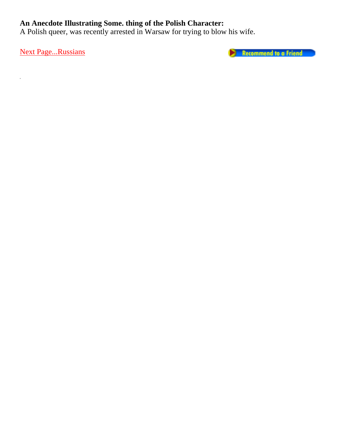#### **An Anecdote Illustrating Some. thing of the Polish Character:**

A Polish queer, was recently arrested in Warsaw for trying to blow his wife.

[Next Page...Russians](#page-33-0)

 $\hat{\mathcal{E}}$ 

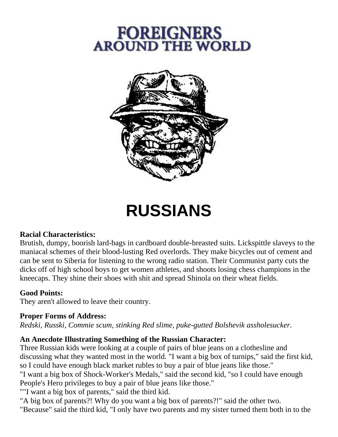<span id="page-33-0"></span>



## **Racial Characteristics:**

Brutish, dumpy, boorish lard-bags in cardboard double-breasted suits. Lickspittle slaveys to the maniacal schemes of their blood-lusting Red overlords. They make bicycles out of cement and can be sent to Siberia for listening to the wrong radio station. Their Communist party cuts the dicks off of high school boys to get women athletes, and shoots losing chess champions in the kneecaps. They shine their shoes with shit and spread Shinola on their wheat fields.

## **Good Points:**

They aren't allowed to leave their country.

## **Proper Forms of Address:**

*Redski, Russki, Commie scum, stinking Red slime, puke-gutted Bolshevik assholesucker.*

# **An Anecdote Illustrating Something of the Russian Character:**

Three Russian kids were looking at a couple of pairs of blue jeans on a clothesline and discussing what they wanted most in the world. "I want a big box of turnips," said the first kid, so I could have enough black market rubles to buy a pair of blue jeans like those."

"I want a big box of Shock-Worker's Medals," said the second kid, "so I could have enough People's Hero privileges to buy a pair of blue jeans like those."

""I want a big box of parents," said the third kid.

"A big box of parents?! Why do you want a big box of parents?!" said the other two. "Because" said the third kid, "I only have two parents and my sister turned them both in to the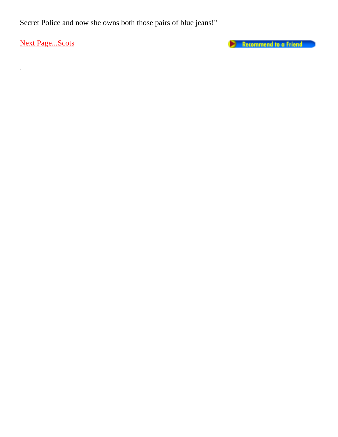Secret Police and now she owns both those pairs of blue jeans!"

[Next Page...Scots](#page-35-0)

 $\epsilon_{\rm{max}}$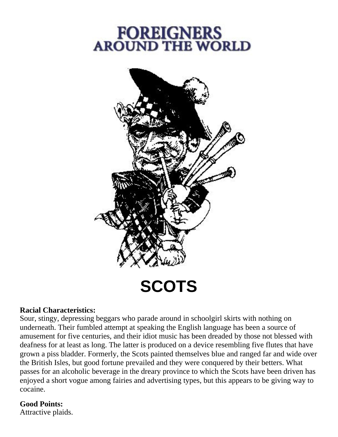<span id="page-35-0"></span>

# **SCOTS**

## **Racial Characteristics:**

Sour, stingy, depressing beggars who parade around in schoolgirl skirts with nothing on underneath. Their fumbled attempt at speaking the English language has been a source of amusement for five centuries, and their idiot music has been dreaded by those not blessed with deafness for at least as long. The latter is produced on a device resembling five flutes that have grown a piss bladder. Formerly, the Scots painted themselves blue and ranged far and wide over the British Isles, but good fortune prevailed and they were conquered by their betters. What passes for an alcoholic beverage in the dreary province to which the Scots have been driven has enjoyed a short vogue among fairies and advertising types, but this appears to be giving way to cocaine.

## **Good Points:**

Attractive plaids.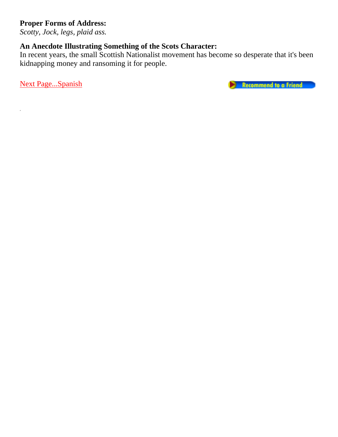## **Proper Forms of Address:**

*Scotty, Jock, legs, plaid ass.*

# **An Anecdote Illustrating Something of the Scots Character:**

In recent years, the small Scottish Nationalist movement has become so desperate that it's been kidnapping money and ransoming it for people.

[Next Page...Spanish](#page-37-0)

 $\bar{z}$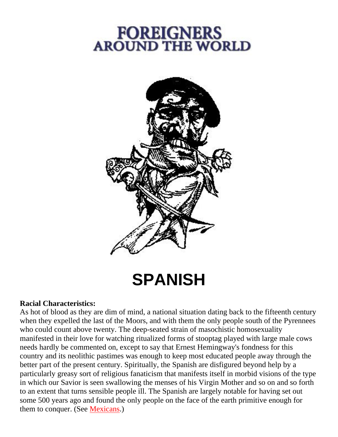<span id="page-37-0"></span>

**SPANISH**

#### **Racial Characteristics:**

As hot of blood as they are dim of mind, a national situation dating back to the fifteenth century when they expelled the last of the Moors, and with them the only people south of the Pyrennees who could count above twenty. The deep-seated strain of masochistic homosexuality manifested in their love for watching ritualized forms of stooptag played with large male cows needs hardly be commented on, except to say that Ernest Hemingway's fondness for this country and its neolithic pastimes was enough to keep most educated people away through the better part of the present century. Spiritually, the Spanish are disfigured beyond help by a particularly greasy sort of religious fanaticism that manifests itself in morbid visions of the type in which our Savior is seen swallowing the menses of his Virgin Mother and so on and so forth to an extent that turns sensible people ill. The Spanish are largely notable for having set out some 500 years ago and found the only people on the face of the earth primitive enough for them to conquer. (See [Mexicans.](#page-29-0))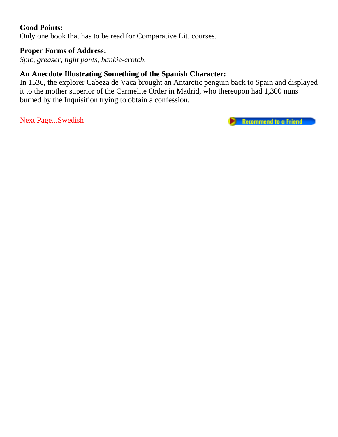## **Good Points:**

Only one book that has to be read for Comparative Lit. courses.

#### **Proper Forms of Address:**

*Spic, greaser, tight pants, hankie-crotch.*

# **An Anecdote Illustrating Something of the Spanish Character:**

In 1536, the explorer Cabeza de Vaca brought an Antarctic penguin back to Spain and displayed it to the mother superior of the Carmelite Order in Madrid, who thereupon had 1,300 nuns burned by the Inquisition trying to obtain a confession.

[Next Page...Swedish](#page-39-0)

 $\ddot{\phantom{a}}$ 

**Recommend to a Friend Comment**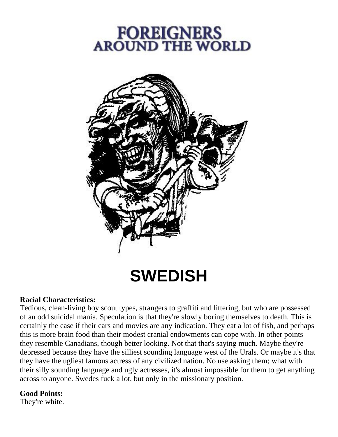<span id="page-39-0"></span>

**SWEDISH**

#### **Racial Characteristics:**

Tedious, clean-living boy scout types, strangers to graffiti and littering, but who are possessed of an odd suicidal mania. Speculation is that they're slowly boring themselves to death. This is certainly the case if their cars and movies are any indication. They eat a lot of fish, and perhaps this is more brain food than their modest cranial endowments can cope with. In other points they resemble Canadians, though better looking. Not that that's saying much. Maybe they're depressed because they have the silliest sounding language west of the Urals. Or maybe it's that they have the ugliest famous actress of any civilized nation. No use asking them; what with their silly sounding language and ugly actresses, it's almost impossible for them to get anything across to anyone. Swedes fuck a lot, but only in the missionary position.

## **Good Points:**

They're white.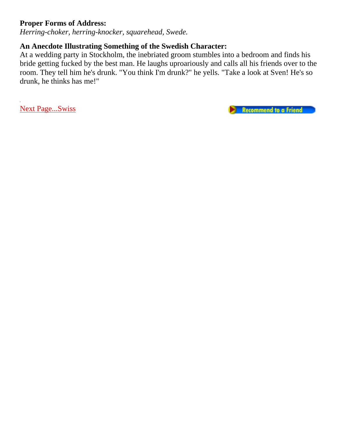## **Proper Forms of Address:**

*Herring-choker, herring-knocker, squarehead, Swede.*

### **An Anecdote Illustrating Something of the Swedish Character:**

At a wedding party in Stockholm, the inebriated groom stumbles into a bedroom and finds his bride getting fucked by the best man. He laughs uproariously and calls all his friends over to the room. They tell him he's drunk. "You think I'm drunk?" he yells. "Take a look at Sven! He's so drunk, he thinks has me!"

[Next Page...Swiss](#page-41-0)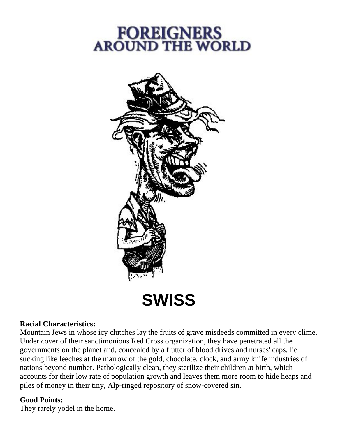<span id="page-41-0"></span>



#### **Racial Characteristics:**

Mountain Jews in whose icy clutches lay the fruits of grave misdeeds committed in every clime. Under cover of their sanctimonious Red Cross organization, they have penetrated all the governments on the planet and, concealed by a flutter of blood drives and nurses' caps, lie sucking like leeches at the marrow of the gold, chocolate, clock, and army knife industries of nations beyond number. Pathologically clean, they sterilize their children at birth, which accounts for their low rate of population growth and leaves them more room to hide heaps and piles of money in their tiny, Alp-ringed repository of snow-covered sin.

#### **Good Points:**

They rarely yodel in the home.